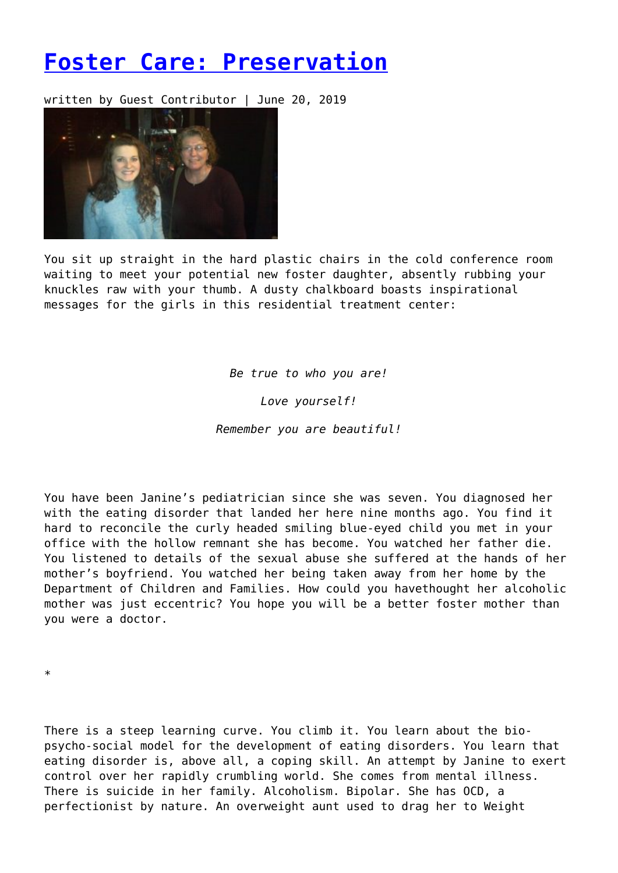## **[Foster Care: Preservation](https://entropymag.org/foster-care-preservation/)**

written by Guest Contributor | June 20, 2019



You sit up straight in the hard plastic chairs in the cold conference room waiting to meet your potential new foster daughter, absently rubbing your knuckles raw with your thumb. A dusty chalkboard boasts inspirational messages for the girls in this residential treatment center:

*Be true to who you are!*

*Love yourself!*

*Remember you are beautiful!*

You have been Janine's pediatrician since she was seven. You diagnosed her with the eating disorder that landed her here nine months ago. You find it hard to reconcile the curly headed smiling blue-eyed child you met in your office with the hollow remnant she has become. You watched her father die. You listened to details of the sexual abuse she suffered at the hands of her mother's boyfriend. You watched her being taken away from her home by the Department of Children and Families. How could you havethought her alcoholic mother was just eccentric? You hope you will be a better foster mother than you were a doctor.

\*

There is a steep learning curve. You climb it. You learn about the biopsycho-social model for the development of eating disorders. You learn that eating disorder is, above all, a coping skill. An attempt by Janine to exert control over her rapidly crumbling world. She comes from mental illness. There is suicide in her family. Alcoholism. Bipolar. She has OCD, a perfectionist by nature. An overweight aunt used to drag her to Weight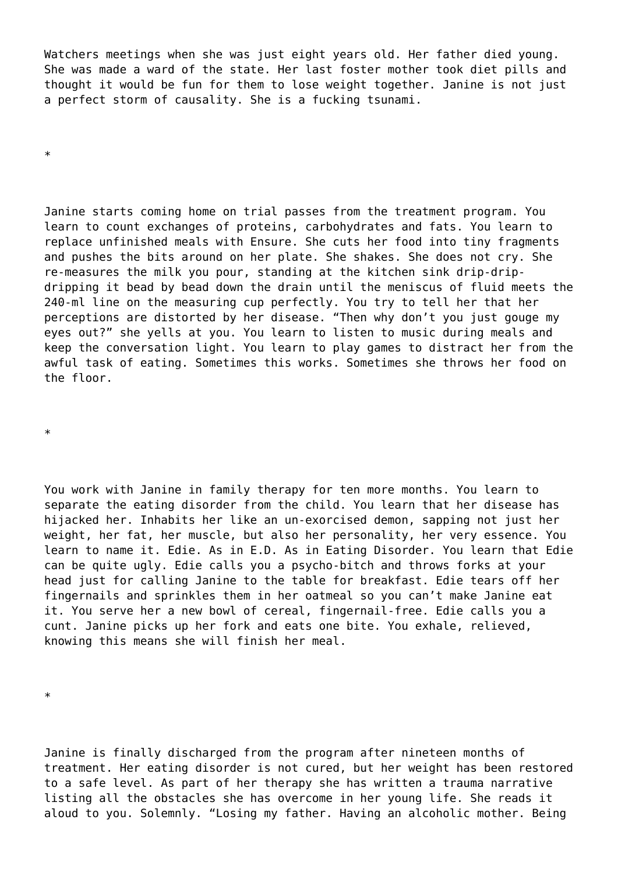Watchers meetings when she was just eight years old. Her father died young. She was made a ward of the state. Her last foster mother took diet pills and thought it would be fun for them to lose weight together. Janine is not just a perfect storm of causality. She is a fucking tsunami.

\*

Janine starts coming home on trial passes from the treatment program. You learn to count exchanges of proteins, carbohydrates and fats. You learn to replace unfinished meals with Ensure. She cuts her food into tiny fragments and pushes the bits around on her plate. She shakes. She does not cry. She re-measures the milk you pour, standing at the kitchen sink drip-dripdripping it bead by bead down the drain until the meniscus of fluid meets the 240-ml line on the measuring cup perfectly. You try to tell her that her perceptions are distorted by her disease. "Then why don't you just gouge my eyes out?" she yells at you. You learn to listen to music during meals and keep the conversation light. You learn to play games to distract her from the awful task of eating. Sometimes this works. Sometimes she throws her food on the floor.

\*

You work with Janine in family therapy for ten more months. You learn to separate the eating disorder from the child. You learn that her disease has hijacked her. Inhabits her like an un-exorcised demon, sapping not just her weight, her fat, her muscle, but also her personality, her very essence. You learn to name it. Edie. As in E.D. As in Eating Disorder. You learn that Edie can be quite ugly. Edie calls you a psycho-bitch and throws forks at your head just for calling Janine to the table for breakfast. Edie tears off her fingernails and sprinkles them in her oatmeal so you can't make Janine eat it. You serve her a new bowl of cereal, fingernail-free. Edie calls you a cunt. Janine picks up her fork and eats one bite. You exhale, relieved, knowing this means she will finish her meal.

\*

Janine is finally discharged from the program after nineteen months of treatment. Her eating disorder is not cured, but her weight has been restored to a safe level. As part of her therapy she has written a trauma narrative listing all the obstacles she has overcome in her young life. She reads it aloud to you. Solemnly. "Losing my father. Having an alcoholic mother. Being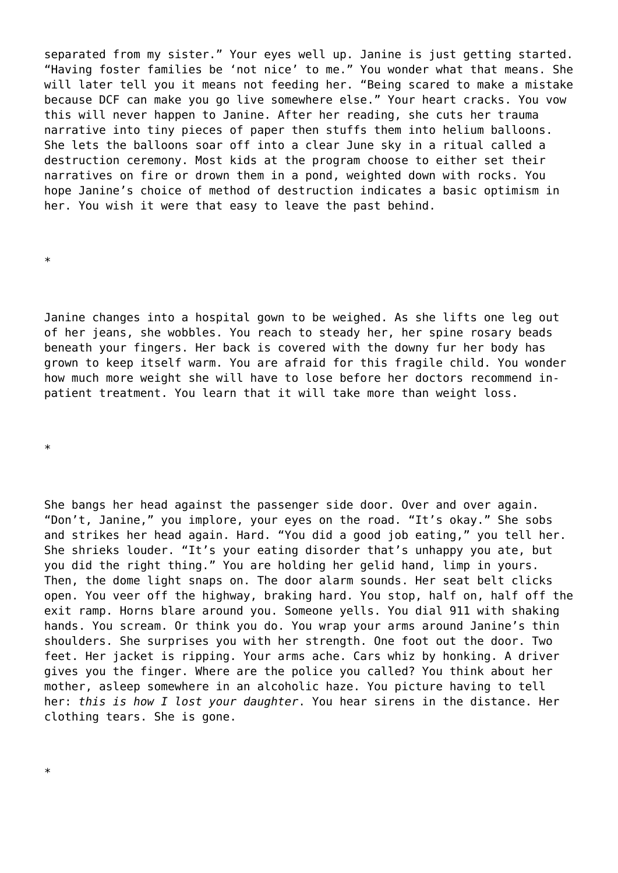separated from my sister." Your eyes well up. Janine is just getting started. "Having foster families be 'not nice' to me." You wonder what that means. She will later tell you it means not feeding her. "Being scared to make a mistake because DCF can make you go live somewhere else." Your heart cracks. You vow this will never happen to Janine. After her reading, she cuts her trauma narrative into tiny pieces of paper then stuffs them into helium balloons. She lets the balloons soar off into a clear June sky in a ritual called a destruction ceremony. Most kids at the program choose to either set their narratives on fire or drown them in a pond, weighted down with rocks. You hope Janine's choice of method of destruction indicates a basic optimism in her. You wish it were that easy to leave the past behind.

\*

Janine changes into a hospital gown to be weighed. As she lifts one leg out of her jeans, she wobbles. You reach to steady her, her spine rosary beads beneath your fingers. Her back is covered with the downy fur her body has grown to keep itself warm. You are afraid for this fragile child. You wonder how much more weight she will have to lose before her doctors recommend inpatient treatment. You learn that it will take more than weight loss.

\*

\*

She bangs her head against the passenger side door. Over and over again. "Don't, Janine," you implore, your eyes on the road. "It's okay." She sobs and strikes her head again. Hard. "You did a good job eating," you tell her. She shrieks louder. "It's your eating disorder that's unhappy you ate, but you did the right thing." You are holding her gelid hand, limp in yours. Then, the dome light snaps on. The door alarm sounds. Her seat belt clicks open. You veer off the highway, braking hard. You stop, half on, half off the exit ramp. Horns blare around you. Someone yells. You dial 911 with shaking hands. You scream. Or think you do. You wrap your arms around Janine's thin shoulders. She surprises you with her strength. One foot out the door. Two feet. Her jacket is ripping. Your arms ache. Cars whiz by honking. A driver gives you the finger. Where are the police you called? You think about her mother, asleep somewhere in an alcoholic haze. You picture having to tell her: *this is how I lost your daughter*. You hear sirens in the distance. Her clothing tears. She is gone.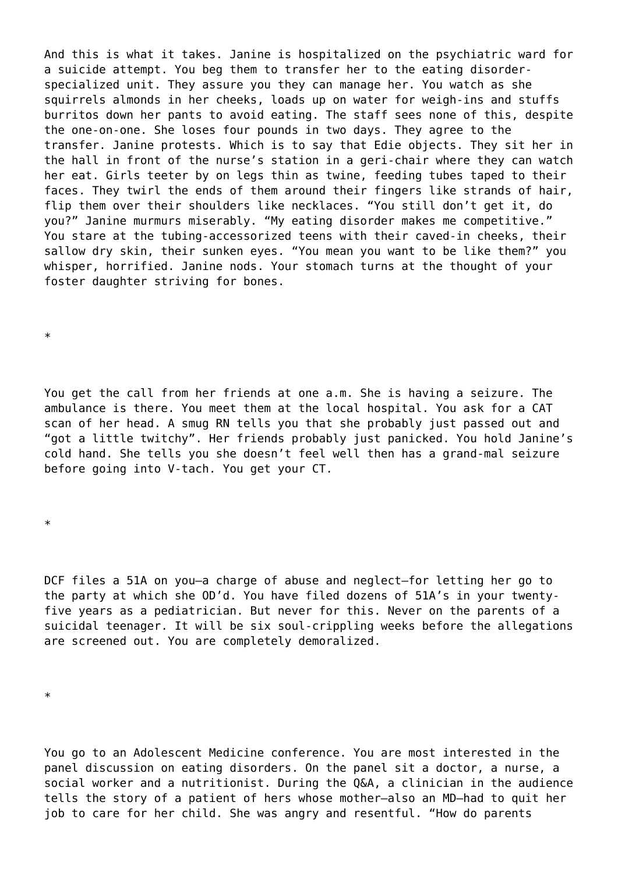And this is what it takes. Janine is hospitalized on the psychiatric ward for a suicide attempt. You beg them to transfer her to the eating disorderspecialized unit. They assure you they can manage her. You watch as she squirrels almonds in her cheeks, loads up on water for weigh-ins and stuffs burritos down her pants to avoid eating. The staff sees none of this, despite the one-on-one. She loses four pounds in two days. They agree to the transfer. Janine protests. Which is to say that Edie objects. They sit her in the hall in front of the nurse's station in a geri-chair where they can watch her eat. Girls teeter by on legs thin as twine, feeding tubes taped to their faces. They twirl the ends of them around their fingers like strands of hair, flip them over their shoulders like necklaces. "You still don't get it, do you?" Janine murmurs miserably. "My eating disorder makes me competitive." You stare at the tubing-accessorized teens with their caved-in cheeks, their sallow dry skin, their sunken eyes. "You mean you want to be like them?" you whisper, horrified. Janine nods. Your stomach turns at the thought of your foster daughter striving for bones.

\*

You get the call from her friends at one a.m. She is having a seizure. The ambulance is there. You meet them at the local hospital. You ask for a CAT scan of her head. A smug RN tells you that she probably just passed out and "got a little twitchy". Her friends probably just panicked. You hold Janine's cold hand. She tells you she doesn't feel well then has a grand-mal seizure before going into V-tach. You get your CT.

\*

DCF files a 51A on you—a charge of abuse and neglect—for letting her go to the party at which she OD'd. You have filed dozens of 51A's in your twentyfive years as a pediatrician. But never for this. Never on the parents of a suicidal teenager. It will be six soul-crippling weeks before the allegations are screened out. You are completely demoralized.

\*

You go to an Adolescent Medicine conference. You are most interested in the panel discussion on eating disorders. On the panel sit a doctor, a nurse, a social worker and a nutritionist. During the Q&A, a clinician in the audience tells the story of a patient of hers whose mother—also an MD—had to quit her job to care for her child. She was angry and resentful. "How do parents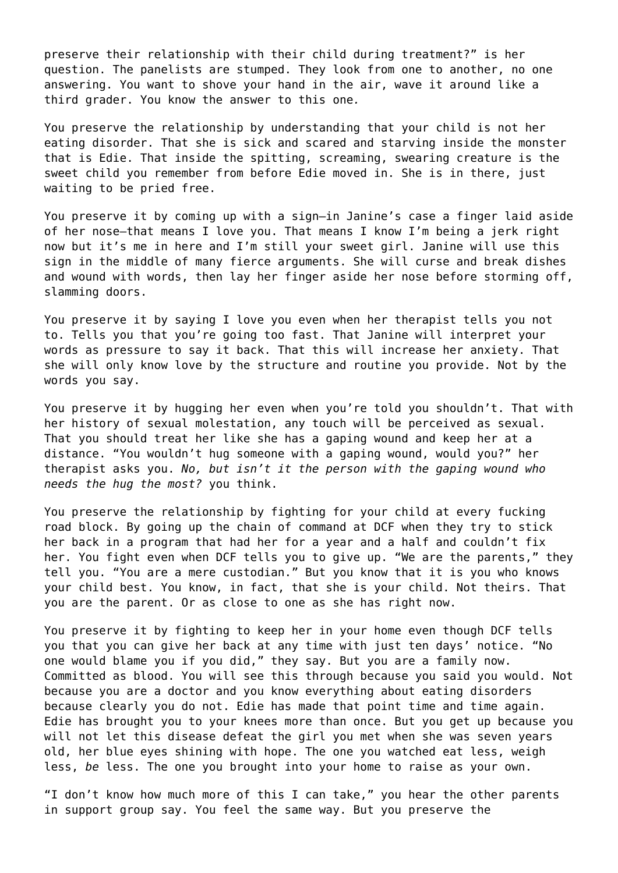preserve their relationship with their child during treatment?" is her question. The panelists are stumped. They look from one to another, no one answering. You want to shove your hand in the air, wave it around like a third grader. You know the answer to this one*.*

You preserve the relationship by understanding that your child is not her eating disorder. That she is sick and scared and starving inside the monster that is Edie. That inside the spitting, screaming, swearing creature is the sweet child you remember from before Edie moved in. She is in there, just waiting to be pried free.

You preserve it by coming up with a sign—in Janine's case a finger laid aside of her nose—that means I love you. That means I know I'm being a jerk right now but it's me in here and I'm still your sweet girl. Janine will use this sign in the middle of many fierce arguments. She will curse and break dishes and wound with words, then lay her finger aside her nose before storming off, slamming doors.

You preserve it by saying I love you even when her therapist tells you not to. Tells you that you're going too fast. That Janine will interpret your words as pressure to say it back. That this will increase her anxiety. That she will only know love by the structure and routine you provide. Not by the words you say.

You preserve it by hugging her even when you're told you shouldn't. That with her history of sexual molestation, any touch will be perceived as sexual. That you should treat her like she has a gaping wound and keep her at a distance. "You wouldn't hug someone with a gaping wound, would you?" her therapist asks you. *No, but isn't it the person with the gaping wound who needs the hug the most?* you think.

You preserve the relationship by fighting for your child at every fucking road block. By going up the chain of command at DCF when they try to stick her back in a program that had her for a year and a half and couldn't fix her. You fight even when DCF tells you to give up. "We are the parents," they tell you. "You are a mere custodian." But you know that it is you who knows your child best. You know, in fact, that she is your child. Not theirs. That you are the parent. Or as close to one as she has right now.

You preserve it by fighting to keep her in your home even though DCF tells you that you can give her back at any time with just ten days' notice. "No one would blame you if you did," they say. But you are a family now. Committed as blood. You will see this through because you said you would. Not because you are a doctor and you know everything about eating disorders because clearly you do not. Edie has made that point time and time again. Edie has brought you to your knees more than once. But you get up because you will not let this disease defeat the girl you met when she was seven years old, her blue eyes shining with hope. The one you watched eat less, weigh less, *be* less. The one you brought into your home to raise as your own.

"I don't know how much more of this I can take," you hear the other parents in support group say. You feel the same way. But you preserve the